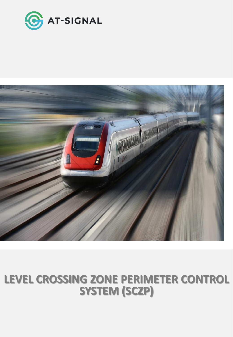



## **LEVEL CROSSING ZONE PERIMETER CONTROL SYSTEM (SCZP)**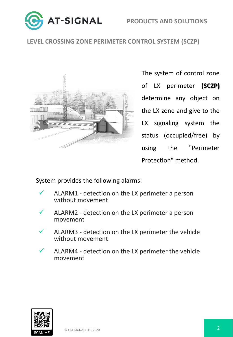



## **LEVEL CROSSING ZONE PERIMETER CONTROL SYSTEM (SCZP)**



The system of control zone of LX perimeter **(SCZP)** determine any object on the LX zone and give to the LX signaling system the status (occupied/free) by using the "Perimeter Protection" method.

System provides the following alarms:

- ALARM1 detection on the LX perimeter a person without movement
- ALARM2 detection on the LX perimeter a person movement
- ALARM3 detection on the LX perimeter the vehicle without movement
- ALARM4 detection on the LX perimeter the vehicle movement